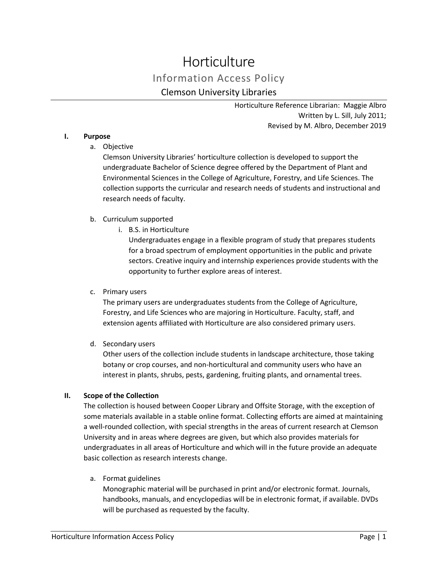# **Horticulture** Information Access Policy Clemson University Libraries

Horticulture Reference Librarian: Maggie Albro Written by L. Sill, July 2011; Revised by M. Albro, December 2019

### **I. Purpose**

a. Objective

Clemson University Libraries' horticulture collection is developed to support the undergraduate Bachelor of Science degree offered by the Department of Plant and Environmental Sciences in the College of Agriculture, Forestry, and Life Sciences. The collection supports the curricular and research needs of students and instructional and research needs of faculty.

# b. Curriculum supported

i. B.S. in Horticulture

Undergraduates engage in a flexible program of study that prepares students for a broad spectrum of employment opportunities in the public and private sectors. Creative inquiry and internship experiences provide students with the opportunity to further explore areas of interest.

# c. Primary users

The primary users are undergraduates students from the College of Agriculture, Forestry, and Life Sciences who are majoring in Horticulture. Faculty, staff, and extension agents affiliated with Horticulture are also considered primary users.

# d. Secondary users

Other users of the collection include students in landscape architecture, those taking botany or crop courses, and non-horticultural and community users who have an interest in plants, shrubs, pests, gardening, fruiting plants, and ornamental trees.

# **II. Scope of the Collection**

The collection is housed between Cooper Library and Offsite Storage, with the exception of some materials available in a stable online format. Collecting efforts are aimed at maintaining a well-rounded collection, with special strengths in the areas of current research at Clemson University and in areas where degrees are given, but which also provides materials for undergraduates in all areas of Horticulture and which will in the future provide an adequate basic collection as research interests change.

# a. Format guidelines

Monographic material will be purchased in print and/or electronic format. Journals, handbooks, manuals, and encyclopedias will be in electronic format, if available. DVDs will be purchased as requested by the faculty.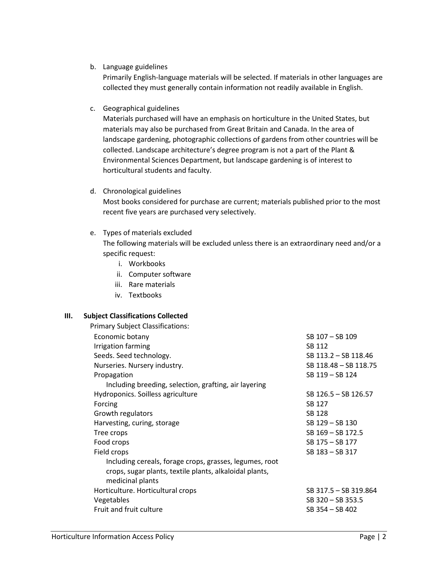## b. Language guidelines

Primarily English-language materials will be selected. If materials in other languages are collected they must generally contain information not readily available in English.

c. Geographical guidelines

Materials purchased will have an emphasis on horticulture in the United States, but materials may also be purchased from Great Britain and Canada. In the area of landscape gardening, photographic collections of gardens from other countries will be collected. Landscape architecture's degree program is not a part of the Plant & Environmental Sciences Department, but landscape gardening is of interest to horticultural students and faculty.

d. Chronological guidelines

Most books considered for purchase are current; materials published prior to the most recent five years are purchased very selectively.

e. Types of materials excluded

The following materials will be excluded unless there is an extraordinary need and/or a specific request:

- i. Workbooks
- ii. Computer software
- iii. Rare materials
- iv. Textbooks

# **III. Subject Classifications Collected**

| <b>Primary Subject Classifications:</b>                 |                       |
|---------------------------------------------------------|-----------------------|
| Economic botany                                         | SB 107 - SB 109       |
| Irrigation farming                                      | SB 112                |
| Seeds. Seed technology.                                 | SB 113.2 - SB 118.46  |
| Nurseries. Nursery industry.                            | SB 118.48 - SB 118.75 |
| Propagation                                             | SB 119 - SB 124       |
| Including breeding, selection, grafting, air layering   |                       |
| Hydroponics. Soilless agriculture                       | SB 126.5 - SB 126.57  |
| Forcing                                                 | SB 127                |
| Growth regulators                                       | SB 128                |
| Harvesting, curing, storage                             | SB 129 - SB 130       |
| Tree crops                                              | SB 169 - SB 172.5     |
| Food crops                                              | SB 175 - SB 177       |
| Field crops                                             | SB 183 - SB 317       |
| Including cereals, forage crops, grasses, legumes, root |                       |
| crops, sugar plants, textile plants, alkaloidal plants, |                       |
| medicinal plants                                        |                       |
| Horticulture. Horticultural crops                       | SB 317.5 - SB 319.864 |
| Vegetables                                              | SB 320 - SB 353.5     |
| Fruit and fruit culture                                 | SB 354 - SB 402       |
|                                                         |                       |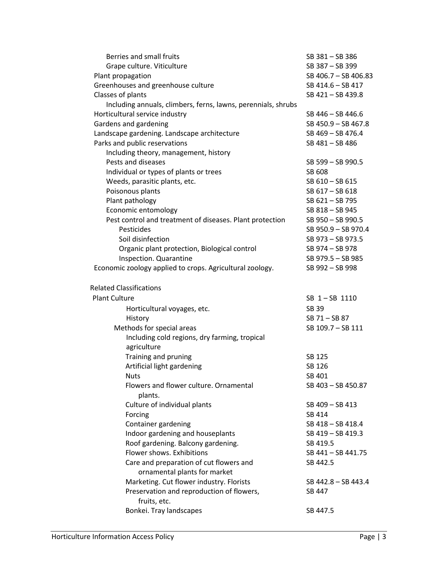| Berries and small fruits                                      | SB 381-SB 386        |
|---------------------------------------------------------------|----------------------|
| Grape culture. Viticulture                                    | SB 387 - SB 399      |
| Plant propagation                                             | SB 406.7 - SB 406.83 |
| Greenhouses and greenhouse culture                            | SB 414.6 - SB 417    |
| Classes of plants                                             | SB 421-SB 439.8      |
| Including annuals, climbers, ferns, lawns, perennials, shrubs |                      |
| Horticultural service industry                                | SB 446 - SB 446.6    |
| Gardens and gardening                                         | SB 450.9 - SB 467.8  |
| Landscape gardening. Landscape architecture                   | SB 469 - SB 476.4    |
| Parks and public reservations                                 | SB 481-SB 486        |
| Including theory, management, history                         |                      |
| Pests and diseases                                            | SB 599 - SB 990.5    |
| Individual or types of plants or trees                        | SB 608               |
| Weeds, parasitic plants, etc.                                 | SB 610 - SB 615      |
| Poisonous plants                                              | SB 617 - SB 618      |
| Plant pathology                                               | SB 621 - SB 795      |
| Economic entomology                                           | SB 818 - SB 945      |
| Pest control and treatment of diseases. Plant protection      | SB 950 - SB 990.5    |
| Pesticides                                                    | SB 950.9 - SB 970.4  |
| Soil disinfection                                             | SB 973 - SB 973.5    |
| Organic plant protection, Biological control                  | SB 974 - SB 978      |
| Inspection. Quarantine                                        | SB 979.5 - SB 985    |
| Economic zoology applied to crops. Agricultural zoology.      | SB 992 - SB 998      |
|                                                               |                      |
| <b>Related Classifications</b>                                |                      |
| <b>Plant Culture</b>                                          | SB 1-SB 1110         |
| Horticultural voyages, etc.                                   | <b>SB 39</b>         |
| History                                                       | SB 71 - SB 87        |
| Methods for special areas                                     | SB 109.7 - SB 111    |
| Including cold regions, dry farming, tropical                 |                      |
| agriculture                                                   |                      |
| Training and pruning                                          | SB 125               |
| Artificial light gardening                                    | SB 126               |
| <b>Nuts</b>                                                   | SB 401               |
| Flowers and flower culture. Ornamental                        | SB 403 - SB 450.87   |
| plants.                                                       |                      |
| Culture of individual plants                                  | SB 409 - SB 413      |
| Forcing                                                       | SB 414               |
| Container gardening                                           | SB 418 - SB 418.4    |
| Indoor gardening and houseplants                              | SB 419 - SB 419.3    |
| Roof gardening. Balcony gardening.                            | SB 419.5             |
| Flower shows. Exhibitions                                     | SB 441-SB 441.75     |
| Care and preparation of cut flowers and                       | SB 442.5             |
| ornamental plants for market                                  |                      |
| Marketing. Cut flower industry. Florists                      | SB 442.8 - SB 443.4  |
| Preservation and reproduction of flowers,                     | SB 447               |
| fruits, etc.                                                  |                      |
| Bonkei. Tray landscapes                                       | SB 447.5             |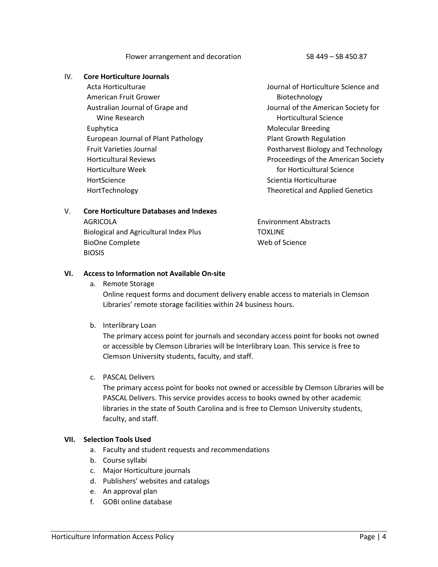#### IV. **Core Horticulture Journals** Acta Horticulturae American Fruit Grower Australian Journal of Grape and Wine Research Euphytica European Journal of Plant Pathology Fruit Varieties Journal Horticultural Reviews Horticulture Week **HortScience** HortTechnology Journal of Horticulture Science and Biotechnology Molecular Breeding

Journal of the American Society for Horticultural Science Plant Growth Regulation Postharvest Biology and Technology Proceedings of the American Society for Horticultural Science Scientia Horticulturae Theoretical and Applied Genetics

# V. **Core Horticulture Databases and Indexes**

AGRICOLA Biological and Agricultural Index Plus BioOne Complete BIOSIS

Environment Abstracts **TOXLINE** Web of Science

## **VI. Access to Information not Available On-site**

a. Remote Storage

Online request forms and document delivery enable access to materials in Clemson Libraries' remote storage facilities within 24 business hours.

b. Interlibrary Loan

The primary access point for journals and secondary access point for books not owned or accessible by Clemson Libraries will be Interlibrary Loan. This service is free to Clemson University students, faculty, and staff.

c. PASCAL Delivers

The primary access point for books not owned or accessible by Clemson Libraries will be PASCAL Delivers. This service provides access to books owned by other academic libraries in the state of South Carolina and is free to Clemson University students, faculty, and staff.

# **VII. Selection Tools Used**

- a. Faculty and student requests and recommendations
- b. Course syllabi
- c. Major Horticulture journals
- d. Publishers' websites and catalogs
- e. An approval plan
- f. GOBI online database